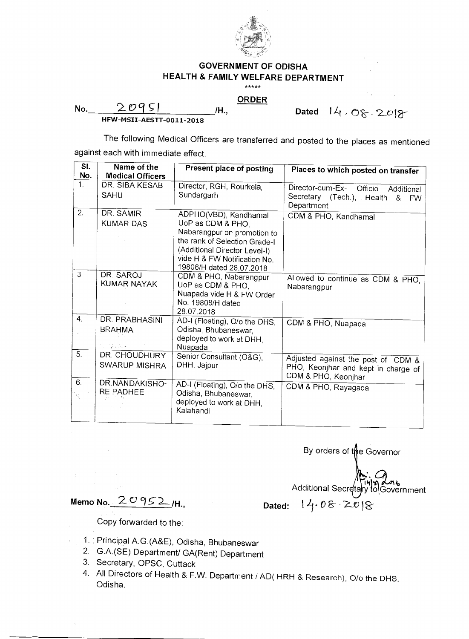

## **GOVERNMENT OF ODISHA HEALTH & FAMILY WELFARE DEPARTMENT**

 $*****$ 

**ORDER** 

No. 20951 **/H.**,

Dated 14.08.2018

**HFW-MSII-AESTT-0011-2018** 

The following Medical Officers are transferred and posted to the places as mentioned

against each with immediate effect.

| $\overline{\mathsf{SI}}$ . | Name of the             | Present place of posting                                       |                                                            |
|----------------------------|-------------------------|----------------------------------------------------------------|------------------------------------------------------------|
| No.                        | <b>Medical Officers</b> |                                                                | Places to which posted on transfer                         |
| 1 <sub>1</sub>             | DR. SIBA KESAB          | Director, RGH, Rourkela,                                       | Director-cum-Ex- Officio<br>Additional                     |
|                            | <b>SAHU</b>             | Sundargarh                                                     | Secretary (Tech.), Health<br>&<br><b>FW</b><br>Department  |
| $\overline{2}$ .           | DR. SAMIR               | ADPHO(VBD), Kandhamal                                          | CDM & PHO, Kandhamal                                       |
|                            | <b>KUMAR DAS</b>        | UoP as CDM & PHO.                                              |                                                            |
|                            |                         | Nabarangpur on promotion to                                    |                                                            |
|                            |                         | the rank of Selection Grade-I<br>(Additional Director Level-I) |                                                            |
|                            |                         | vide H & FW Notification No.                                   |                                                            |
|                            |                         | 19806/H dated 28.07.2018                                       |                                                            |
| 3.                         | DR. SAROJ               | CDM & PHO, Nabarangpur                                         | Allowed to continue as CDM & PHO.                          |
|                            | <b>KUMAR NAYAK</b>      | UoP as CDM & PHO,                                              | Nabarangpur                                                |
|                            |                         | Nuapada vide H & FW Order<br>No. 19808/H dated                 |                                                            |
|                            |                         | 28.07.2018                                                     |                                                            |
| $\mathbf{4}$               | DR. PRABHASINI          | AD-I (Floating), O/o the DHS,                                  | CDM & PHO, Nuapada                                         |
|                            | <b>BRAHMA</b>           | Odisha, Bhubaneswar,                                           |                                                            |
|                            |                         | deployed to work at DHH,                                       |                                                            |
| 5.                         | 化四氯氧化碳<br>DR. CHOUDHURY | Nuapada                                                        |                                                            |
|                            | <b>SWARUP MISHRA</b>    | Senior Consultant (O&G),<br>DHH, Jajpur                        | Adjusted against the post of CDM &                         |
|                            |                         |                                                                | PHO, Keonjhar and kept in charge of<br>CDM & PHO, Keonjhar |
| 6.                         | DR.NANDAKISHO-          | AD-I (Floating), O/o the DHS,                                  | CDM & PHO, Rayagada                                        |
| K,                         | RE PADHEE               | Odisha, Bhubaneswar,                                           |                                                            |
|                            |                         | deployed to work at DHH,<br>Kalahandi                          |                                                            |
|                            |                         |                                                                |                                                            |

By orders of the Governor Additional Secretary to Government

**Memo No.**  $20952\mu$ , **Dated:**  $14.08208$ 

Copy forwarded to the:

- 1. Principal A.G.(A&E), Odisha, Bhubaneswar
- 2. G.A.(SE) Department/ GA(Rent) Department
- 3. Secretary, OPSC, Cuttack
- 4. All Directors of Health & F.W. Department / AD( HRH & Research), O/o the DHS, Odisha.